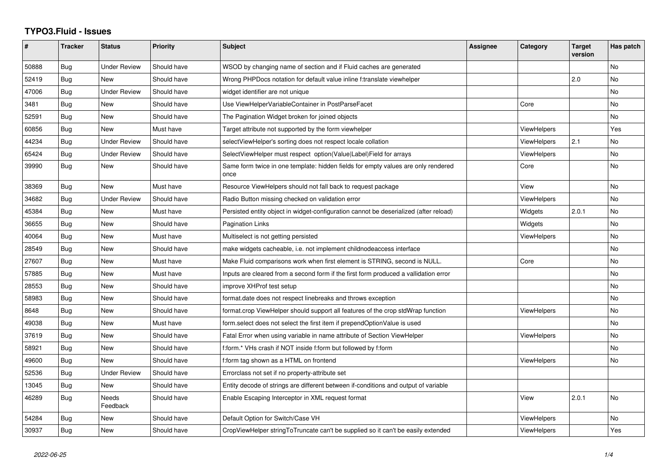## **TYPO3.Fluid - Issues**

| #     | <b>Tracker</b> | <b>Status</b>            | <b>Priority</b> | <b>Subject</b>                                                                            | <b>Assignee</b> | Category           | <b>Target</b><br>version | Has patch |
|-------|----------------|--------------------------|-----------------|-------------------------------------------------------------------------------------------|-----------------|--------------------|--------------------------|-----------|
| 50888 | Bug            | <b>Under Review</b>      | Should have     | WSOD by changing name of section and if Fluid caches are generated                        |                 |                    |                          | No        |
| 52419 | Bug            | <b>New</b>               | Should have     | Wrong PHPDocs notation for default value inline f:translate viewhelper                    |                 |                    | 2.0                      | <b>No</b> |
| 47006 | Bug            | <b>Under Review</b>      | Should have     | widget identifier are not unique                                                          |                 |                    |                          | <b>No</b> |
| 3481  | Bug            | <b>New</b>               | Should have     | Use ViewHelperVariableContainer in PostParseFacet                                         |                 | Core               |                          | <b>No</b> |
| 52591 | Bug            | New                      | Should have     | The Pagination Widget broken for joined objects                                           |                 |                    |                          | No        |
| 60856 | <b>Bug</b>     | <b>New</b>               | Must have       | Target attribute not supported by the form viewhelper                                     |                 | <b>ViewHelpers</b> |                          | Yes       |
| 44234 | Bug            | <b>Under Review</b>      | Should have     | selectViewHelper's sorting does not respect locale collation                              |                 | <b>ViewHelpers</b> | 2.1                      | <b>No</b> |
| 65424 | Bug            | <b>Under Review</b>      | Should have     | SelectViewHelper must respect option(Value Label)Field for arrays                         |                 | ViewHelpers        |                          | No        |
| 39990 | Bug            | New                      | Should have     | Same form twice in one template: hidden fields for empty values are only rendered<br>once |                 | Core               |                          | <b>No</b> |
| 38369 | Bug            | <b>New</b>               | Must have       | Resource ViewHelpers should not fall back to request package                              |                 | View               |                          | <b>No</b> |
| 34682 | Bug            | <b>Under Review</b>      | Should have     | Radio Button missing checked on validation error                                          |                 | ViewHelpers        |                          | <b>No</b> |
| 45384 | Bug            | New                      | Must have       | Persisted entity object in widget-configuration cannot be deserialized (after reload)     |                 | Widgets            | 2.0.1                    | No        |
| 36655 | <b>Bug</b>     | <b>New</b>               | Should have     | <b>Pagination Links</b>                                                                   |                 | Widgets            |                          | <b>No</b> |
| 40064 | Bug            | New                      | Must have       | Multiselect is not getting persisted                                                      |                 | ViewHelpers        |                          | <b>No</b> |
| 28549 | Bug            | New                      | Should have     | make widgets cacheable, i.e. not implement childnodeaccess interface                      |                 |                    |                          | <b>No</b> |
| 27607 | Bug            | New                      | Must have       | Make Fluid comparisons work when first element is STRING, second is NULL.                 |                 | Core               |                          | No        |
| 57885 | Bug            | <b>New</b>               | Must have       | Inputs are cleared from a second form if the first form produced a vallidation error      |                 |                    |                          | No        |
| 28553 | Bug            | New                      | Should have     | improve XHProf test setup                                                                 |                 |                    |                          | No        |
| 58983 | Bug            | <b>New</b>               | Should have     | format.date does not respect linebreaks and throws exception                              |                 |                    |                          | No        |
| 8648  | Bug            | <b>New</b>               | Should have     | format.crop ViewHelper should support all features of the crop stdWrap function           |                 | ViewHelpers        |                          | No        |
| 49038 | Bug            | New                      | Must have       | form select does not select the first item if prependOptionValue is used                  |                 |                    |                          | No        |
| 37619 | Bug            | New                      | Should have     | Fatal Error when using variable in name attribute of Section ViewHelper                   |                 | ViewHelpers        |                          | <b>No</b> |
| 58921 | Bug            | New                      | Should have     | f:form.* VHs crash if NOT inside f:form but followed by f:form                            |                 |                    |                          | No        |
| 49600 | Bug            | <b>New</b>               | Should have     | f:form tag shown as a HTML on frontend                                                    |                 | <b>ViewHelpers</b> |                          | <b>No</b> |
| 52536 | Bug            | <b>Under Review</b>      | Should have     | Errorclass not set if no property-attribute set                                           |                 |                    |                          |           |
| 13045 | Bug            | <b>New</b>               | Should have     | Entity decode of strings are different between if-conditions and output of variable       |                 |                    |                          |           |
| 46289 | Bug            | <b>Needs</b><br>Feedback | Should have     | Enable Escaping Interceptor in XML request format                                         |                 | View               | 2.0.1                    | <b>No</b> |
| 54284 | Bug            | New                      | Should have     | Default Option for Switch/Case VH                                                         |                 | ViewHelpers        |                          | No        |
| 30937 | Bug            | New                      | Should have     | CropViewHelper stringToTruncate can't be supplied so it can't be easily extended          |                 | ViewHelpers        |                          | Yes       |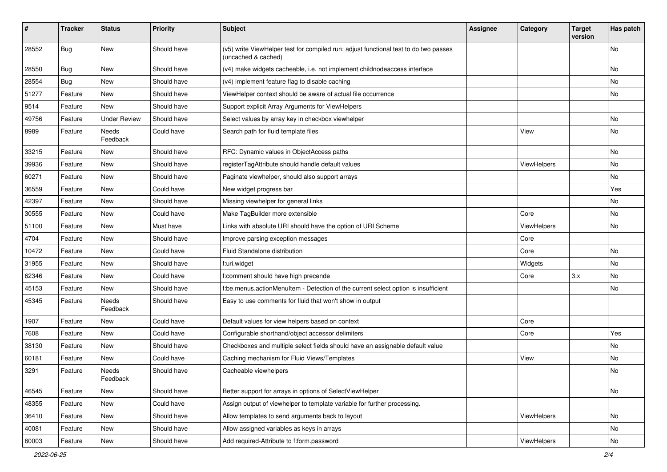| ∦     | <b>Tracker</b> | <b>Status</b>            | <b>Priority</b> | <b>Subject</b>                                                                                              | <b>Assignee</b> | Category    | <b>Target</b><br>version | Has patch |
|-------|----------------|--------------------------|-----------------|-------------------------------------------------------------------------------------------------------------|-----------------|-------------|--------------------------|-----------|
| 28552 | Bug            | New                      | Should have     | (v5) write ViewHelper test for compiled run; adjust functional test to do two passes<br>(uncached & cached) |                 |             |                          | No        |
| 28550 | <b>Bug</b>     | New                      | Should have     | (v4) make widgets cacheable, i.e. not implement childnodeaccess interface                                   |                 |             |                          | No        |
| 28554 | Bug            | <b>New</b>               | Should have     | (v4) implement feature flag to disable caching                                                              |                 |             |                          | No        |
| 51277 | Feature        | New                      | Should have     | ViewHelper context should be aware of actual file occurrence                                                |                 |             |                          | No        |
| 9514  | Feature        | <b>New</b>               | Should have     | Support explicit Array Arguments for ViewHelpers                                                            |                 |             |                          |           |
| 49756 | Feature        | <b>Under Review</b>      | Should have     | Select values by array key in checkbox viewhelper                                                           |                 |             |                          | No        |
| 8989  | Feature        | <b>Needs</b><br>Feedback | Could have      | Search path for fluid template files                                                                        |                 | View        |                          | No        |
| 33215 | Feature        | New                      | Should have     | RFC: Dynamic values in ObjectAccess paths                                                                   |                 |             |                          | No.       |
| 39936 | Feature        | New                      | Should have     | registerTagAttribute should handle default values                                                           |                 | ViewHelpers |                          | No        |
| 60271 | Feature        | New                      | Should have     | Paginate viewhelper, should also support arrays                                                             |                 |             |                          | No        |
| 36559 | Feature        | New                      | Could have      | New widget progress bar                                                                                     |                 |             |                          | Yes       |
| 42397 | Feature        | <b>New</b>               | Should have     | Missing viewhelper for general links                                                                        |                 |             |                          | No.       |
| 30555 | Feature        | New                      | Could have      | Make TagBuilder more extensible                                                                             |                 | Core        |                          | No        |
| 51100 | Feature        | New                      | Must have       | Links with absolute URI should have the option of URI Scheme                                                |                 | ViewHelpers |                          | No        |
| 4704  | Feature        | New                      | Should have     | Improve parsing exception messages                                                                          |                 | Core        |                          |           |
| 10472 | Feature        | New                      | Could have      | Fluid Standalone distribution                                                                               |                 | Core        |                          | No        |
| 31955 | Feature        | <b>New</b>               | Should have     | f:uri.widget                                                                                                |                 | Widgets     |                          | No.       |
| 62346 | Feature        | New                      | Could have      | f:comment should have high precende                                                                         |                 | Core        | 3.x                      | No        |
| 45153 | Feature        | New                      | Should have     | f:be.menus.actionMenuItem - Detection of the current select option is insufficient                          |                 |             |                          | No        |
| 45345 | Feature        | <b>Needs</b><br>Feedback | Should have     | Easy to use comments for fluid that won't show in output                                                    |                 |             |                          |           |
| 1907  | Feature        | New                      | Could have      | Default values for view helpers based on context                                                            |                 | Core        |                          |           |
| 7608  | Feature        | New                      | Could have      | Configurable shorthand/object accessor delimiters                                                           |                 | Core        |                          | Yes       |
| 38130 | Feature        | New                      | Should have     | Checkboxes and multiple select fields should have an assignable default value                               |                 |             |                          | No        |
| 60181 | Feature        | <b>New</b>               | Could have      | Caching mechanism for Fluid Views/Templates                                                                 |                 | View        |                          | No.       |
| 3291  | Feature        | Needs<br>Feedback        | Should have     | Cacheable viewhelpers                                                                                       |                 |             |                          | No        |
| 46545 | Feature        | New                      | Should have     | Better support for arrays in options of SelectViewHelper                                                    |                 |             |                          | No        |
| 48355 | Feature        | New                      | Could have      | Assign output of viewhelper to template variable for further processing.                                    |                 |             |                          |           |
| 36410 | Feature        | New                      | Should have     | Allow templates to send arguments back to layout                                                            |                 | ViewHelpers |                          | No        |
| 40081 | Feature        | New                      | Should have     | Allow assigned variables as keys in arrays                                                                  |                 |             |                          | No        |
| 60003 | Feature        | New                      | Should have     | Add required-Attribute to f:form.password                                                                   |                 | ViewHelpers |                          | No        |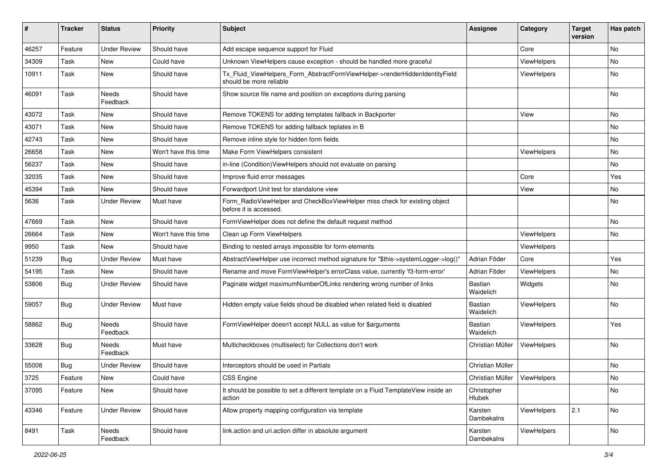| ∦     | <b>Tracker</b> | <b>Status</b>            | <b>Priority</b>      | <b>Subject</b>                                                                                         | <b>Assignee</b>                | Category           | <b>Target</b><br>version | Has patch |
|-------|----------------|--------------------------|----------------------|--------------------------------------------------------------------------------------------------------|--------------------------------|--------------------|--------------------------|-----------|
| 46257 | Feature        | <b>Under Review</b>      | Should have          | Add escape sequence support for Fluid                                                                  |                                | Core               |                          | No        |
| 34309 | Task           | New                      | Could have           | Unknown ViewHelpers cause exception - should be handled more graceful                                  |                                | ViewHelpers        |                          | No        |
| 10911 | Task           | New                      | Should have          | Tx Fluid ViewHelpers Form AbstractFormViewHelper->renderHiddenIdentityField<br>should be more reliable |                                | ViewHelpers        |                          | No        |
| 46091 | Task           | Needs<br>Feedback        | Should have          | Show source file name and position on exceptions during parsing                                        |                                |                    |                          | No        |
| 43072 | Task           | New                      | Should have          | Remove TOKENS for adding templates fallback in Backporter                                              |                                | View               |                          | No        |
| 43071 | Task           | New                      | Should have          | Remove TOKENS for adding fallback teplates in B                                                        |                                |                    |                          | No        |
| 42743 | Task           | New                      | Should have          | Remove inline style for hidden form fields                                                             |                                |                    |                          | No        |
| 26658 | Task           | New                      | Won't have this time | Make Form ViewHelpers consistent                                                                       |                                | ViewHelpers        |                          | No        |
| 56237 | Task           | New                      | Should have          | in-line (Condition) View Helpers should not evaluate on parsing                                        |                                |                    |                          | No        |
| 32035 | Task           | New                      | Should have          | Improve fluid error messages                                                                           |                                | Core               |                          | Yes       |
| 45394 | Task           | New                      | Should have          | Forwardport Unit test for standalone view                                                              |                                | View               |                          | No        |
| 5636  | Task           | <b>Under Review</b>      | Must have            | Form_RadioViewHelper and CheckBoxViewHelper miss check for existing object<br>before it is accessed.   |                                |                    |                          | No        |
| 47669 | Task           | New                      | Should have          | FormViewHelper does not define the default request method                                              |                                |                    |                          | No.       |
| 26664 | Task           | New                      | Won't have this time | Clean up Form ViewHelpers                                                                              |                                | ViewHelpers        |                          | No        |
| 9950  | Task           | New                      | Should have          | Binding to nested arrays impossible for form-elements                                                  |                                | ViewHelpers        |                          |           |
| 51239 | <b>Bug</b>     | <b>Under Review</b>      | Must have            | AbstractViewHelper use incorrect method signature for "\$this->systemLogger->log()"                    | Adrian Föder                   | Core               |                          | Yes       |
| 54195 | Task           | New                      | Should have          | Rename and move FormViewHelper's errorClass value, currently 'f3-form-error'                           | Adrian Föder                   | ViewHelpers        |                          | No        |
| 53806 | <b>Bug</b>     | <b>Under Review</b>      | Should have          | Paginate widget maximumNumberOfLinks rendering wrong number of links                                   | Bastian<br>Waidelich           | Widgets            |                          | No        |
| 59057 | <b>Bug</b>     | <b>Under Review</b>      | Must have            | Hidden empty value fields shoud be disabled when related field is disabled                             | Bastian<br>Waidelich           | ViewHelpers        |                          | No        |
| 58862 | Bug            | <b>Needs</b><br>Feedback | Should have          | FormViewHelper doesn't accept NULL as value for \$arguments                                            | <b>Bastian</b><br>Waidelich    | ViewHelpers        |                          | Yes       |
| 33628 | <b>Bug</b>     | Needs<br>Feedback        | Must have            | Multicheckboxes (multiselect) for Collections don't work                                               | Christian Müller               | <b>ViewHelpers</b> |                          | No        |
| 55008 | <b>Bug</b>     | <b>Under Review</b>      | Should have          | Interceptors should be used in Partials                                                                | Christian Müller               |                    |                          | No        |
| 3725  | Feature        | New                      | Could have           | CSS Engine                                                                                             | Christian Müller   ViewHelpers |                    |                          | No        |
| 37095 | Feature        | New                      | Should have          | It should be possible to set a different template on a Fluid TemplateView inside an<br>action          | Christopher<br>Hlubek          |                    |                          | No        |
| 43346 | Feature        | <b>Under Review</b>      | Should have          | Allow property mapping configuration via template                                                      | Karsten<br>Dambekalns          | ViewHelpers        | 2.1                      | No        |
| 8491  | Task           | Needs<br>Feedback        | Should have          | link.action and uri.action differ in absolute argument                                                 | Karsten<br>Dambekalns          | ViewHelpers        |                          | No        |